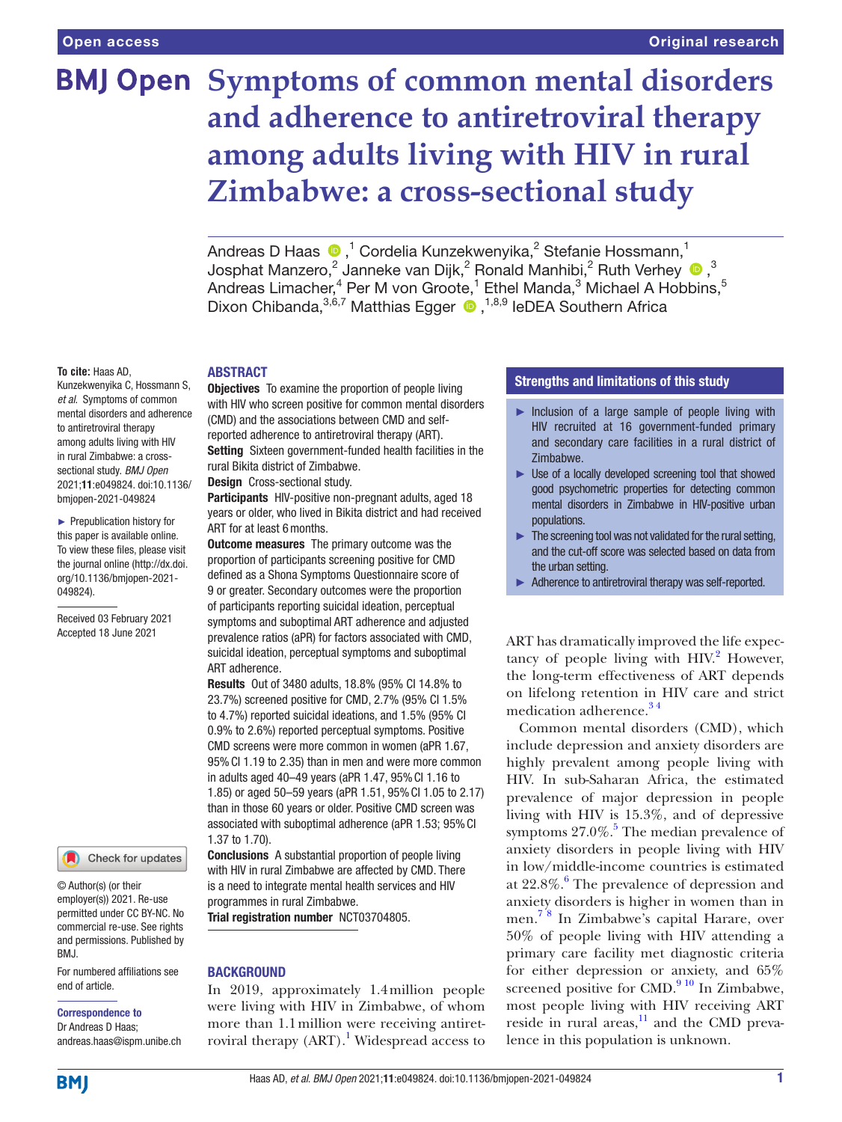# **BMJ Open Symptoms of common mental disorders and adherence to antiretroviral therapy among adults living with HIV in rural Zimbabwe: a cross-sectional study**

Andreas D Haas  $\bigcirc$  ,<sup>1</sup> Cordelia Kunzekwenyika,<sup>2</sup> Stefanie Hossmann,<sup>1</sup> JosphatManzero,<sup>2</sup> Janneke van Dijk,<sup>2</sup> Ronald Manhibi,<sup>2</sup> Ruth Verhey <sup>®</sup>,<sup>3</sup> Andreas Limacher, $^4$  Per M von Groote, $^1$  Ethel Manda, $^3$  Michael A Hobbins, $^5$ DixonChibanda, 3,6,7 Matthias Egger <sup>1,8,9</sup> IeDEA Southern Africa

#### **To cite:** Haas AD,

Kunzekwenyika C, Hossmann S, *et al*. Symptoms of common mental disorders and adherence to antiretroviral therapy among adults living with HIV in rural Zimbabwe: a crosssectional study. *BMJ Open* 2021;11:e049824. doi:10.1136/ bmjopen-2021-049824

► Prepublication history for this paper is available online. To view these files, please visit the journal online (http://dx.doi. org/10.1136/bmjopen-2021- 049824).

Received 03 February 2021 Accepted 18 June 2021



© Author(s) (or their employer(s)) 2021. Re-use permitted under CC BY-NC. No commercial re-use. See rights and permissions. Published by BMJ.

For numbered affiliations see end of article.

#### Correspondence to

Dr Andreas D Haas; andreas.haas@ispm.unibe.ch

# ABSTRACT

**Objectives** To examine the proportion of people living with HIV who screen positive for common mental disorders (CMD) and the associations between CMD and selfreported adherence to antiretroviral therapy (ART). Setting Sixteen government-funded health facilities in the rural Bikita district of Zimbabwe.

Design Cross-sectional study.

Participants HIV-positive non-pregnant adults, aged 18 years or older, who lived in Bikita district and had received ART for at least 6months.

**Outcome measures** The primary outcome was the proportion of participants screening positive for CMD defined as a Shona Symptoms Questionnaire score of 9 or greater. Secondary outcomes were the proportion of participants reporting suicidal ideation, perceptual symptoms and suboptimal ART adherence and adjusted prevalence ratios (aPR) for factors associated with CMD, suicidal ideation, perceptual symptoms and suboptimal ART adherence.

Results Out of 3480 adults, 18.8% (95% CI 14.8% to 23.7%) screened positive for CMD, 2.7% (95% CI 1.5% to 4.7%) reported suicidal ideations, and 1.5% (95% CI 0.9% to 2.6%) reported perceptual symptoms. Positive CMD screens were more common in women (aPR 1.67, 95%CI 1.19 to 2.35) than in men and were more common in adults aged 40–49 years (aPR 1.47, 95%CI 1.16 to 1.85) or aged 50–59 years (aPR 1.51, 95%CI 1.05 to 2.17) than in those 60 years or older. Positive CMD screen was associated with suboptimal adherence (aPR 1.53; 95% CI 1.37 to 1.70).

Conclusions A substantial proportion of people living with HIV in rural Zimbabwe are affected by CMD. There is a need to integrate mental health services and HIV programmes in rural Zimbabwe.

Trial registration number <NCT03704805>.

## **BACKGROUND**

In 2019, approximately 1.4million people were living with HIV in Zimbabwe, of whom more than 1.1million were receiving antiret-roviral therapy (ART).<sup>[1](#page-5-0)</sup> Widespread access to

# Strengths and limitations of this study

- $\blacktriangleright$  Inclusion of a large sample of people living with HIV recruited at 16 government-funded primary and secondary care facilities in a rural district of Zimbabwe.
- ► Use of a locally developed screening tool that showed good psychometric properties for detecting common mental disorders in Zimbabwe in HIV-positive urban populations.
- $\blacktriangleright$  The screening tool was not validated for the rural setting. and the cut-off score was selected based on data from the urban setting.
- Adherence to antiretroviral therapy was self-reported.

ART has dramatically improved the life expectancy of people living with  $HIV<sup>2</sup>$  $HIV<sup>2</sup>$  $HIV<sup>2</sup>$  However, the long-term effectiveness of ART depends on lifelong retention in HIV care and strict medication adherence.<sup>34</sup>

Common mental disorders (CMD), which include depression and anxiety disorders are highly prevalent among people living with HIV. In sub-Saharan Africa, the estimated prevalence of major depression in people living with HIV is 15.3%, and of depressive symptoms  $27.0\%$ .<sup>5</sup> The median prevalence of anxiety disorders in people living with HIV in low/middle-income countries is estimated at  $22.8\%$ .<sup>[6](#page-5-4)</sup> The prevalence of depression and anxiety disorders is higher in women than in men. [7 8](#page-5-5) In Zimbabwe's capital Harare, over 50% of people living with HIV attending a primary care facility met diagnostic criteria for either depression or anxiety, and 65% screened positive for CMD. $910$  In Zimbabwe, most people living with HIV receiving ART reside in rural areas, $11$  and the CMD prevalence in this population is unknown.

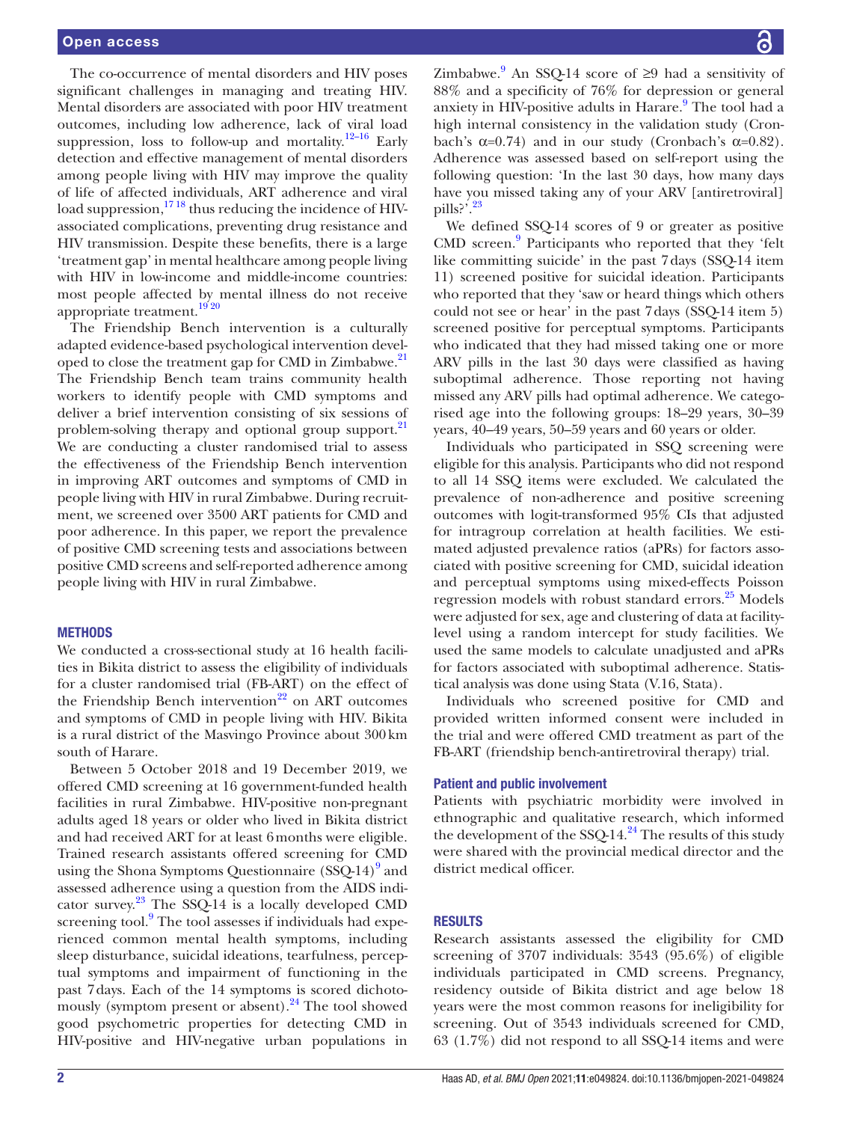The co-occurrence of mental disorders and HIV poses significant challenges in managing and treating HIV. Mental disorders are associated with poor HIV treatment outcomes, including low adherence, lack of viral load suppression, loss to follow-up and mortality.<sup>12-16</sup> Early detection and effective management of mental disorders among people living with HIV may improve the quality of life of affected individuals, ART adherence and viral load suppression,<sup>1718</sup> thus reducing the incidence of HIVassociated complications, preventing drug resistance and HIV transmission. Despite these benefits, there is a large 'treatment gap' in mental healthcare among people living with HIV in low-income and middle-income countries: most people affected by mental illness do not receive appropriate treatment.<sup>1920</sup>

The Friendship Bench intervention is a culturally adapted evidence-based psychological intervention developed to close the treatment gap for CMD in Zimbabwe.<sup>21</sup> The Friendship Bench team trains community health workers to identify people with CMD symptoms and deliver a brief intervention consisting of six sessions of problem-solving therapy and optional group support.<sup>21</sup> We are conducting a cluster randomised trial to assess the effectiveness of the Friendship Bench intervention in improving ART outcomes and symptoms of CMD in people living with HIV in rural Zimbabwe. During recruitment, we screened over 3500 ART patients for CMD and poor adherence. In this paper, we report the prevalence of positive CMD screening tests and associations between positive CMD screens and self-reported adherence among people living with HIV in rural Zimbabwe.

## **METHODS**

We conducted a cross-sectional study at 16 health facilities in Bikita district to assess the eligibility of individuals for a cluster randomised trial (FB-ART) on the effect of the Friendship Bench intervention $^{22}$  $^{22}$  $^{22}$  on ART outcomes and symptoms of CMD in people living with HIV. Bikita is a rural district of the Masvingo Province about 300km south of Harare.

Between 5 October 2018 and 19 December 2019, we offered CMD screening at 16 government-funded health facilities in rural Zimbabwe. HIV-positive non-pregnant adults aged 18 years or older who lived in Bikita district and had received ART for at least 6months were eligible. Trained research assistants offered screening for CMD using the Shona Symptoms Questionnaire (SSQ-14)<sup>[9](#page-5-6)</sup> and assessed adherence using a question from the AIDS indicator survey. $23$  The SSQ-14 is a locally developed CMD screening tool.<sup>9</sup> The tool assesses if individuals had experienced common mental health symptoms, including sleep disturbance, suicidal ideations, tearfulness, perceptual symptoms and impairment of functioning in the past 7days. Each of the 14 symptoms is scored dichotomously (symptom present or absent). $^{24}$  The tool showed good psychometric properties for detecting CMD in HIV-positive and HIV-negative urban populations in

Zimbabwe.<sup>9</sup> An SSQ-14 score of  $\geq$ 9 had a sensitivity of 88% and a specificity of 76% for depression or general anxiety in HIV-positive adults in Harare.<sup>[9](#page-5-6)</sup> The tool had a high internal consistency in the validation study (Cronbach's  $\alpha=0.74$ ) and in our study (Cronbach's  $\alpha=0.82$ ). Adherence was assessed based on self-report using the following question: 'In the last 30 days, how many days have you missed taking any of your ARV [antiretroviral] pills?'. $^{23}$ 

We defined SSQ-14 scores of 9 or greater as positive CMD screen.<sup>[9](#page-5-6)</sup> Participants who reported that they 'felt like committing suicide' in the past 7days (SSQ-14 item 11) screened positive for suicidal ideation. Participants who reported that they 'saw or heard things which others could not see or hear' in the past 7days (SSQ-14 item 5) screened positive for perceptual symptoms. Participants who indicated that they had missed taking one or more ARV pills in the last 30 days were classified as having suboptimal adherence. Those reporting not having missed any ARV pills had optimal adherence. We categorised age into the following groups: 18–29 years, 30–39 years, 40–49 years, 50–59 years and 60 years or older.

Individuals who participated in SSQ screening were eligible for this analysis. Participants who did not respond to all 14 SSQ items were excluded. We calculated the prevalence of non-adherence and positive screening outcomes with logit-transformed 95% CIs that adjusted for intragroup correlation at health facilities. We estimated adjusted prevalence ratios (aPRs) for factors associated with positive screening for CMD, suicidal ideation and perceptual symptoms using mixed-effects Poisson regression models with robust standard errors.<sup>25</sup> Models were adjusted for sex, age and clustering of data at facilitylevel using a random intercept for study facilities. We used the same models to calculate unadjusted and aPRs for factors associated with suboptimal adherence. Statistical analysis was done using Stata (V.16, Stata).

Individuals who screened positive for CMD and provided written informed consent were included in the trial and were offered CMD treatment as part of the FB-ART (friendship bench-antiretroviral therapy) trial.

#### Patient and public involvement

Patients with psychiatric morbidity were involved in ethnographic and qualitative research, which informed the development of the SSQ-14. $^{24}$  The results of this study were shared with the provincial medical director and the district medical officer.

# RESULTS

Research assistants assessed the eligibility for CMD screening of 3707 individuals: 3543 (95.6%) of eligible individuals participated in CMD screens. Pregnancy, residency outside of Bikita district and age below 18 years were the most common reasons for ineligibility for screening. Out of 3543 individuals screened for CMD, 63 (1.7%) did not respond to all SSQ-14 items and were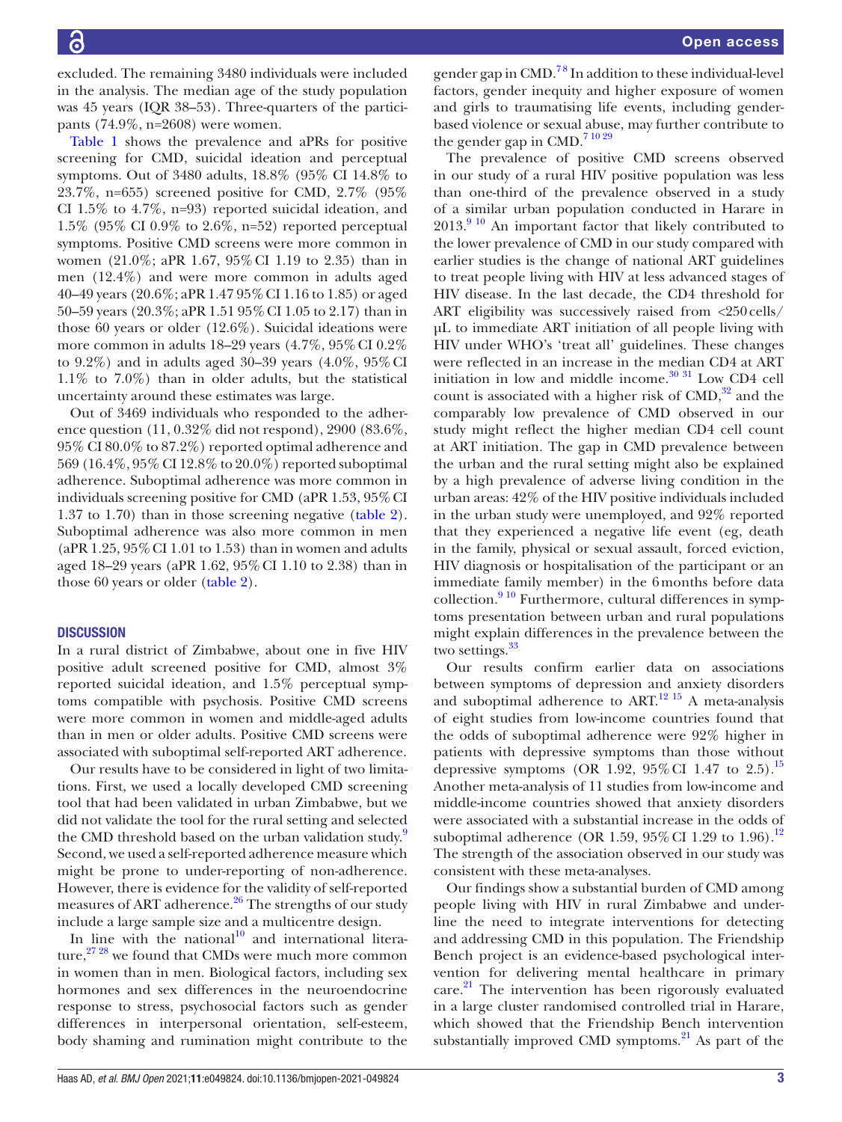excluded. The remaining 3480 individuals were included in the analysis. The median age of the study population was 45 years (IQR 38–53). Three-quarters of the participants (74.9%, n=2608) were women.

[Table](#page-3-0) 1 shows the prevalence and aPRs for positive screening for CMD, suicidal ideation and perceptual symptoms. Out of 3480 adults, 18.8% (95% CI 14.8% to 23.7%, n=655) screened positive for CMD, 2.7% (95% CI 1.5% to 4.7%, n=93) reported suicidal ideation, and 1.5% (95% CI 0.9% to 2.6%, n=52) reported perceptual symptoms. Positive CMD screens were more common in women (21.0%; aPR 1.67, 95%CI 1.19 to 2.35) than in men (12.4%) and were more common in adults aged 40–49 years (20.6%; aPR 1.47 95%CI 1.16 to 1.85) or aged 50–59 years (20.3%; aPR 1.51 95%CI 1.05 to 2.17) than in those 60 years or older (12.6%). Suicidal ideations were more common in adults 18–29 years (4.7%, 95%CI 0.2% to 9.2%) and in adults aged 30–39 years  $(4.0\%, 95\% \text{ CI})$ 1.1% to 7.0%) than in older adults, but the statistical uncertainty around these estimates was large.

Out of 3469 individuals who responded to the adherence question (11, 0.32% did not respond), 2900 (83.6%, 95% CI 80.0% to 87.2%) reported optimal adherence and 569 (16.4%, 95% CI 12.8% to 20.0%) reported suboptimal adherence. Suboptimal adherence was more common in individuals screening positive for CMD (aPR 1.53, 95%CI 1.37 to 1.70) than in those screening negative [\(table](#page-4-0) 2). Suboptimal adherence was also more common in men (aPR  $1.25$ ,  $95\%$  CI 1.01 to 1.53) than in women and adults aged 18–29 years (aPR 1.62, 95%CI 1.10 to 2.38) than in those 60 years or older [\(table](#page-4-0) 2).

## **DISCUSSION**

In a rural district of Zimbabwe, about one in five HIV positive adult screened positive for CMD, almost 3% reported suicidal ideation, and 1.5% perceptual symptoms compatible with psychosis. Positive CMD screens were more common in women and middle-aged adults than in men or older adults. Positive CMD screens were associated with suboptimal self-reported ART adherence.

Our results have to be considered in light of two limitations. First, we used a locally developed CMD screening tool that had been validated in urban Zimbabwe, but we did not validate the tool for the rural setting and selected the CMD threshold based on the urban validation study.<sup>[9](#page-5-6)</sup> Second, we used a self-reported adherence measure which might be prone to under-reporting of non-adherence. However, there is evidence for the validity of self-reported measures of ART adherence.<sup>[26](#page-5-16)</sup> The strengths of our study include a large sample size and a multicentre design.

In line with the national<sup>[10](#page-5-17)</sup> and international literature, $27\frac{28}{1}$  we found that CMDs were much more common in women than in men. Biological factors, including sex hormones and sex differences in the neuroendocrine response to stress, psychosocial factors such as gender differences in interpersonal orientation, self-esteem, body shaming and rumination might contribute to the

gender gap in  $\text{CMD.}^{78}$  In addition to these individual-level factors, gender inequity and higher exposure of women and girls to traumatising life events, including genderbased violence or sexual abuse, may further contribute to the gender gap in CMD.<sup>[7 10 29](#page-5-5)</sup>

The prevalence of positive CMD screens observed in our study of a rural HIV positive population was less than one-third of the prevalence observed in a study of a similar urban population conducted in Harare in 2013[.9 10](#page-5-6) An important factor that likely contributed to the lower prevalence of CMD in our study compared with earlier studies is the change of national ART guidelines to treat people living with HIV at less advanced stages of HIV disease. In the last decade, the CD4 threshold for ART eligibility was successively raised from <250cells/ µL to immediate ART initiation of all people living with HIV under WHO's 'treat all' guidelines. These changes were reflected in an increase in the median CD4 at ART initiation in low and middle income. $^{30}$  31 Low CD4 cell count is associated with a higher risk of  $\text{CMD},^{32}$  $\text{CMD},^{32}$  $\text{CMD},^{32}$  and the comparably low prevalence of CMD observed in our study might reflect the higher median CD4 cell count at ART initiation. The gap in CMD prevalence between the urban and the rural setting might also be explained by a high prevalence of adverse living condition in the urban areas: 42% of the HIV positive individuals included in the urban study were unemployed, and 92% reported that they experienced a negative life event (eg, death in the family, physical or sexual assault, forced eviction, HIV diagnosis or hospitalisation of the participant or an immediate family member) in the 6months before data collection. $910$  Furthermore, cultural differences in symptoms presentation between urban and rural populations might explain differences in the prevalence between the two settings.<sup>[33](#page-5-21)</sup>

Our results confirm earlier data on associations between symptoms of depression and anxiety disorders and suboptimal adherence to ART.<sup>12 15</sup> A meta-analysis of eight studies from low-income countries found that the odds of suboptimal adherence were 92% higher in patients with depressive symptoms than those without depressive symptoms (OR 1.92, 95% CI 1.47 to 2.5).<sup>[15](#page-5-22)</sup> Another meta-analysis of 11 studies from low-income and middle-income countries showed that anxiety disorders were associated with a substantial increase in the odds of suboptimal adherence (OR 1.59,  $95\%$  CI 1.29 to 1.96).<sup>[12](#page-5-8)</sup> The strength of the association observed in our study was consistent with these meta-analyses.

Our findings show a substantial burden of CMD among people living with HIV in rural Zimbabwe and underline the need to integrate interventions for detecting and addressing CMD in this population. The Friendship Bench project is an evidence-based psychological intervention for delivering mental healthcare in primary  $care.<sup>21</sup>$  The intervention has been rigorously evaluated in a large cluster randomised controlled trial in Harare, which showed that the Friendship Bench intervention substantially improved CMD symptoms. $^{21}$  As part of the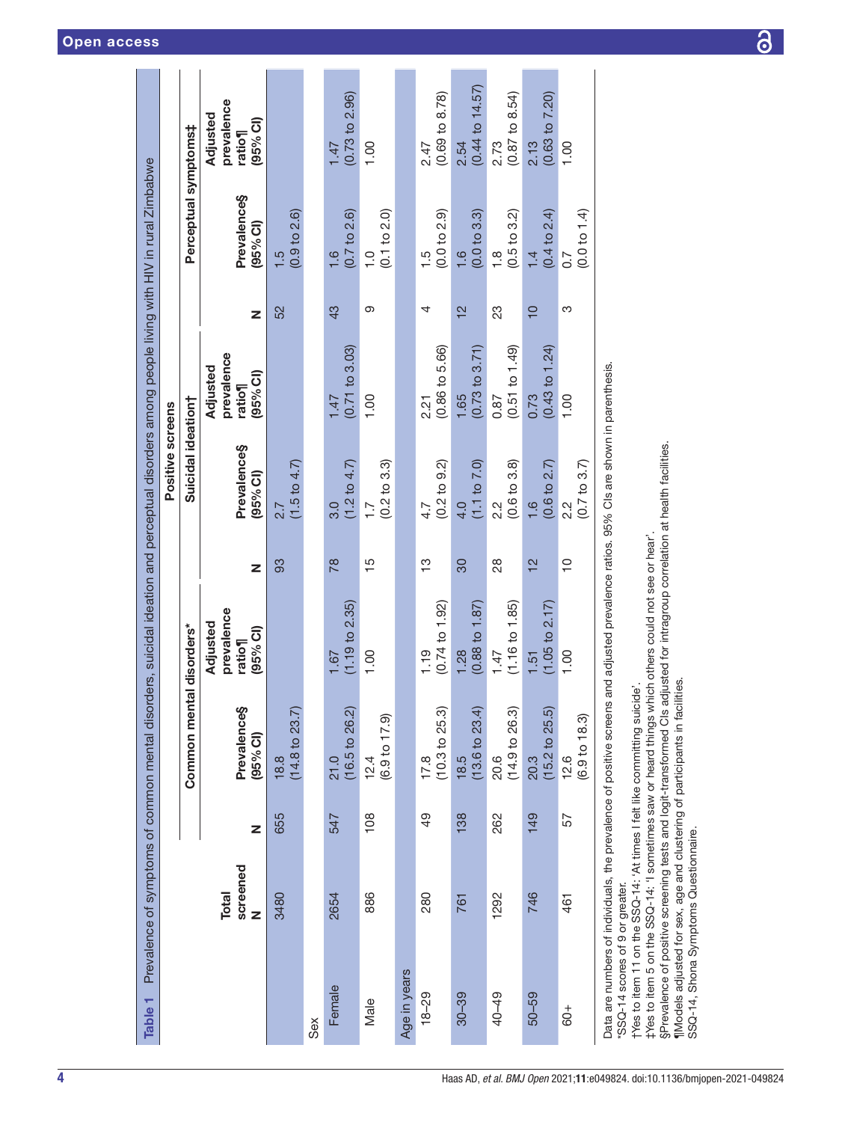<span id="page-3-0"></span>

| Table <sub>1</sub>                                                                                                                              |                               |     | Prevalence of symptoms of common mental disorders, suicidal ideation and perceptual disorders among people living with HIV in rural Zimbabwe                                                                                                                                                                                                                                                 |                                                         |                |                                                                   |                                                        |                |                                          |                                              |
|-------------------------------------------------------------------------------------------------------------------------------------------------|-------------------------------|-----|----------------------------------------------------------------------------------------------------------------------------------------------------------------------------------------------------------------------------------------------------------------------------------------------------------------------------------------------------------------------------------------------|---------------------------------------------------------|----------------|-------------------------------------------------------------------|--------------------------------------------------------|----------------|------------------------------------------|----------------------------------------------|
|                                                                                                                                                 |                               |     |                                                                                                                                                                                                                                                                                                                                                                                              |                                                         |                | Positive screens                                                  |                                                        |                |                                          |                                              |
|                                                                                                                                                 |                               |     | Common men                                                                                                                                                                                                                                                                                                                                                                                   | tal disorders*                                          |                | Suicidal ideation†                                                |                                                        |                | Perceptual symptoms‡                     |                                              |
|                                                                                                                                                 | screened<br><b>Total</b><br>z | Z   | Prevalence§<br>$(95\%$ CI)                                                                                                                                                                                                                                                                                                                                                                   | prevalence<br>Adjusted<br>(95% <sub>6</sub> )<br>ratio¶ | Z              | Prevalence§<br>(95% Cl)                                           | prevalence<br>Adjusted<br>(95% <sub>6</sub> )<br>ratio | z              | Prevalence§<br>(95% <sup>o</sup> )       | prevalence<br>Adjusted<br>(95% Cl)<br>ratio¶ |
|                                                                                                                                                 | 3480                          | 655 | $(14.8 \text{ to } 23.7)$<br>18.8                                                                                                                                                                                                                                                                                                                                                            |                                                         | 83             | $(1.5 \text{ to } 4.7)$<br>2.7                                    |                                                        | 52             | (0.9 to 2.6)<br>1.5                      |                                              |
| Sex                                                                                                                                             |                               |     |                                                                                                                                                                                                                                                                                                                                                                                              |                                                         |                |                                                                   |                                                        |                |                                          |                                              |
| Female                                                                                                                                          | 2654                          | 547 | $(16.5 \text{ to } 26.2)$<br>21.0                                                                                                                                                                                                                                                                                                                                                            | (1.19 to 2.35)<br>1.67                                  | $\frac{8}{18}$ | (1.2 to 4.7)<br>3.0                                               | (0.71 to 3.03)<br>1.47                                 | 43             | (0.7 to 2.6)<br>1.6                      | (0.73 to 2.96)<br>1.47                       |
| Male                                                                                                                                            | 886                           | 108 | $(6.9 \text{ to } 17.9)$<br>12.4                                                                                                                                                                                                                                                                                                                                                             | 1.00                                                    | $\frac{5}{1}$  | $(0.2 \text{ to } 3.3)$<br>$\overline{1}$ .                       | 1.00                                                   | တ              | (0.1 to 2.0)<br>$\frac{0}{1}$            | 1.00                                         |
| Age in years                                                                                                                                    |                               |     |                                                                                                                                                                                                                                                                                                                                                                                              |                                                         |                |                                                                   |                                                        |                |                                          |                                              |
| $18 - 29$                                                                                                                                       | 280                           | 49  | (10.3 to 25.3)<br>17.8                                                                                                                                                                                                                                                                                                                                                                       | $(0.74 \text{ to } 1.92)$<br>1.19                       | က်<br>(        | (0.2 10 9.2)<br>4.7                                               | (0.86 to 5.66)<br>2.21                                 | 4              | (0.0 to 2.9)<br>$\frac{5}{1}$            | $(0.69 \text{ to } 8.78)$<br>2.47            |
| $30 - 39$                                                                                                                                       | 761                           | 138 | $(13.6 \text{ to } 23.4)$<br>18.5                                                                                                                                                                                                                                                                                                                                                            | $(0.88 \text{ to } 1.87)$<br>1.28                       | 30             | (1.1 to 7.0)<br>4.0                                               | $(0.73 \text{ to } 3.71)$<br>1.65                      | $\frac{2}{3}$  | (0.0 t 0 3.3)<br>1.6                     | $(0.44 \text{ to } 14.57)$<br>2.54           |
| 40-49                                                                                                                                           | 1292                          | 262 | (14.9 to 26.3)<br>20.6                                                                                                                                                                                                                                                                                                                                                                       | $(1.16 \text{ to } 1.85)$<br>1.47                       | 28             | (0.6 t 0.3.8)<br>2.2                                              | (0.51 to 1.49)<br>0.87                                 | 23             | $(0.5 \text{ to } 3.2)$<br>$\frac{8}{1}$ | $(0.87 \text{ to } 8.54)$<br>2.73            |
| $50 - 59$                                                                                                                                       | 746                           | 149 | (15.2 to 25.5)<br>20.3                                                                                                                                                                                                                                                                                                                                                                       | (1.05 to 2.17)<br>1.51                                  | $\overline{2}$ | (0.6 t 0 2.7)<br>$\frac{6}{1}$                                    | $(0.43 \text{ to } 1.24)$<br>0.73                      | $\overline{C}$ | (0.4 to 2.4)<br>$\frac{1}{4}$            | (0.63 to 7.20)<br>2.13                       |
| $60+$                                                                                                                                           | 461                           | 57  | (6.9 <sub>to</sub> 18.3)<br>12.6                                                                                                                                                                                                                                                                                                                                                             | 1.00                                                    | $\overline{C}$ | $(0.7 \text{ to } 3.7)$<br>$2.\overline{2}$                       | 1.00                                                   | က              | (0.0 to 1.4)<br>0.7                      | $\frac{8}{1}$                                |
| Data are numbers of individuals, the prevalence of positive screens<br>SSQ-14, Shona Symptoms Questionnaire.<br>'SSQ-14 scores of 9 or greater. |                               |     | §Prevalence of positive screening tests and logit-transformed CIs adjusted for intragroup correlation at health facilities.<br>t Yes to item 5 on the SSQ-14: 'I sometimes saw or heard things which others could not see or hear'<br>Models adjusted for sex, age and clustering of participants in facilities<br>tYes to item 11 on the SSQ-14: 'At times I felt like committing suicide'. |                                                         |                | and adjusted prevalence ratios. 95% CIs are shown in parenthesis. |                                                        |                |                                          |                                              |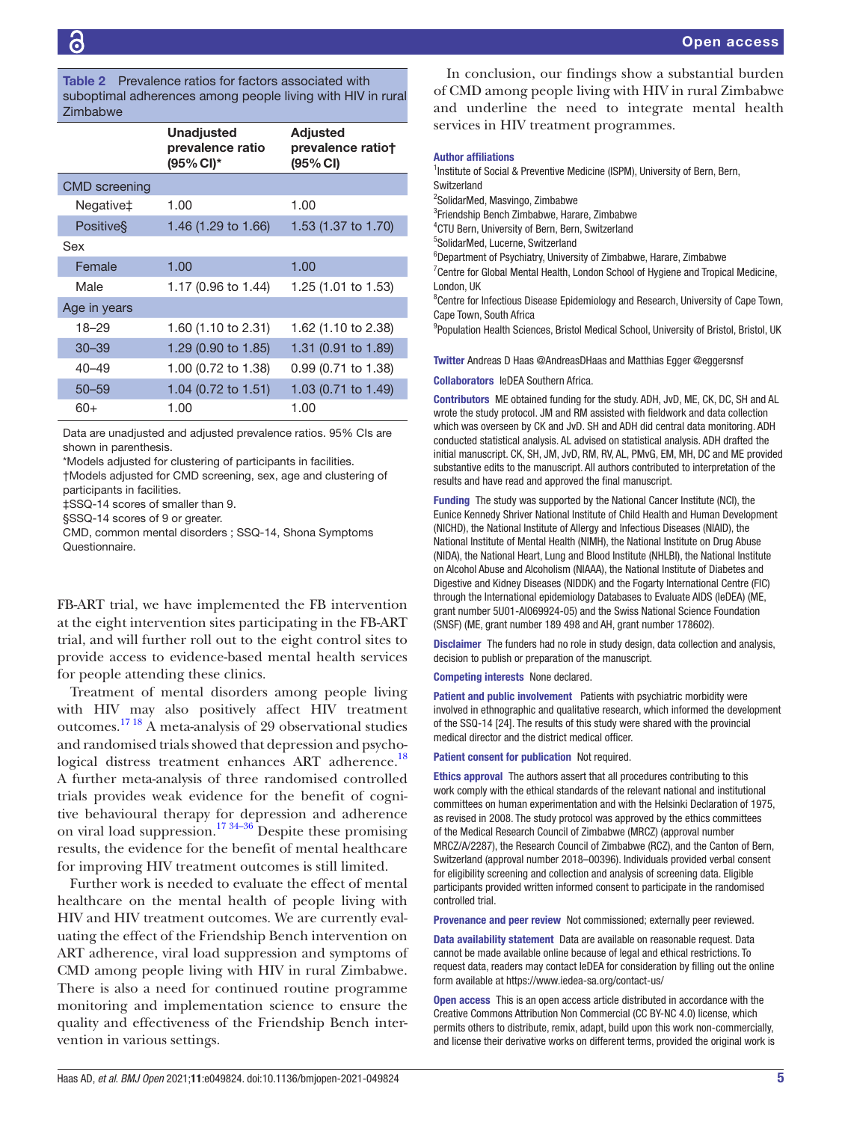<span id="page-4-0"></span>

|                      | <b>Unadjusted</b><br>prevalence ratio<br>$(95\% \, \text{Cl})^*$ | <b>Adjusted</b><br>prevalence ratiot<br>$(95\% \, \text{Cl})$ |
|----------------------|------------------------------------------------------------------|---------------------------------------------------------------|
| <b>CMD</b> screening |                                                                  |                                                               |
| Negative‡            | 1.00                                                             | 1.00                                                          |
| <b>Positive</b> §    | 1.46 (1.29 to 1.66)                                              | 1.53 (1.37 to 1.70)                                           |
| Sex                  |                                                                  |                                                               |
| Female               | 1.00                                                             | 1.00                                                          |
| Male                 | 1.17 (0.96 to 1.44)                                              | 1.25 (1.01 to 1.53)                                           |
| Age in years         |                                                                  |                                                               |
| $18 - 29$            | 1.60 (1.10 to 2.31)                                              | 1.62 (1.10 to 2.38)                                           |
| $30 - 39$            | 1.29 (0.90 to 1.85)                                              | 1.31 (0.91 to 1.89)                                           |
| $40 - 49$            | 1.00 (0.72 to 1.38)                                              | 0.99 (0.71 to 1.38)                                           |
| $50 - 59$            | 1.04 (0.72 to 1.51)                                              | 1.03 (0.71 to 1.49)                                           |
| $60+$                | 1.00                                                             | 1.00                                                          |

Data are unadjusted and adjusted prevalence ratios. 95% CIs are shown in parenthesis.

\*Models adjusted for clustering of participants in facilities.

†Models adjusted for CMD screening, sex, age and clustering of participants in facilities.

‡SSQ-14 scores of smaller than 9.

§SSQ-14 scores of 9 or greater.

CMD, common mental disorders ; SSQ-14, Shona Symptoms Questionnaire.

FB-ART trial, we have implemented the FB intervention at the eight intervention sites participating in the FB-ART trial, and will further roll out to the eight control sites to provide access to evidence-based mental health services for people attending these clinics.

Treatment of mental disorders among people living with HIV may also positively affect HIV treatment outcomes[.17 18](#page-5-9) A meta-analysis of 29 observational studies and randomised trials showed that depression and psychological distress treatment enhances ART adherence.<sup>18</sup> A further meta-analysis of three randomised controlled trials provides weak evidence for the benefit of cognitive behavioural therapy for depression and adherence on viral load suppression.<sup>[17 34–36](#page-5-9)</sup> Despite these promising results, the evidence for the benefit of mental healthcare for improving HIV treatment outcomes is still limited.

Further work is needed to evaluate the effect of mental healthcare on the mental health of people living with HIV and HIV treatment outcomes. We are currently evaluating the effect of the Friendship Bench intervention on ART adherence, viral load suppression and symptoms of CMD among people living with HIV in rural Zimbabwe. There is also a need for continued routine programme monitoring and implementation science to ensure the quality and effectiveness of the Friendship Bench intervention in various settings.

In conclusion, our findings show a substantial burden of CMD among people living with HIV in rural Zimbabwe and underline the need to integrate mental health services in HIV treatment programmes.

#### Author affiliations

<sup>1</sup>Institute of Social & Preventive Medicine (ISPM), University of Bern, Bern, **Switzerland** 2 SolidarMed, Masvingo, Zimbabwe

3 Friendship Bench Zimbabwe, Harare, Zimbabwe 4 CTU Bern, University of Bern, Bern, Switzerland

5 SolidarMed, Lucerne, Switzerland

6 Department of Psychiatry, University of Zimbabwe, Harare, Zimbabwe

<sup>7</sup> Centre for Global Mental Health, London School of Hygiene and Tropical Medicine, London, UK

<sup>8</sup> Centre for Infectious Disease Epidemiology and Research, University of Cape Town, Cape Town, South Africa

<sup>9</sup>Population Health Sciences, Bristol Medical School, University of Bristol, Bristol, UK

Twitter Andreas D Haas [@AndreasDHaas](https://twitter.com/AndreasDHaas) and Matthias Egger [@eggersnsf](https://twitter.com/eggersnsf)

Collaborators IeDEA Southern Africa.

Contributors ME obtained funding for the study. ADH, JvD, ME, CK, DC, SH and AL wrote the study protocol. JM and RM assisted with fieldwork and data collection which was overseen by CK and JvD. SH and ADH did central data monitoring. ADH conducted statistical analysis. AL advised on statistical analysis. ADH drafted the initial manuscript. CK, SH, JM, JvD, RM, RV, AL, PMvG, EM, MH, DC and ME provided substantive edits to the manuscript. All authors contributed to interpretation of the results and have read and approved the final manuscript.

Funding The study was supported by the National Cancer Institute (NCI), the Eunice Kennedy Shriver National Institute of Child Health and Human Development (NICHD), the National Institute of Allergy and Infectious Diseases (NIAID), the National Institute of Mental Health (NIMH), the National Institute on Drug Abuse (NIDA), the National Heart, Lung and Blood Institute (NHLBI), the National Institute on Alcohol Abuse and Alcoholism (NIAAA), the National Institute of Diabetes and Digestive and Kidney Diseases (NIDDK) and the Fogarty International Centre (FIC) through the International epidemiology Databases to Evaluate AIDS (IeDEA) (ME, grant number 5U01‐AI069924‐05) and the Swiss National Science Foundation (SNSF) (ME, grant number 189 498 and AH, grant number 178602).

Disclaimer The funders had no role in study design, data collection and analysis, decision to publish or preparation of the manuscript.

Competing interests None declared.

Patient and public involvement Patients with psychiatric morbidity were involved in ethnographic and qualitative research, which informed the development of the SSQ-14 [24]. The results of this study were shared with the provincial medical director and the district medical officer.

Patient consent for publication Not required.

Ethics approval The authors assert that all procedures contributing to this work comply with the ethical standards of the relevant national and institutional committees on human experimentation and with the Helsinki Declaration of 1975, as revised in 2008. The study protocol was approved by the ethics committees of the Medical Research Council of Zimbabwe (MRCZ) (approval number MRCZ/A/2287), the Research Council of Zimbabwe (RCZ), and the Canton of Bern, Switzerland (approval number 2018–00396). Individuals provided verbal consent for eligibility screening and collection and analysis of screening data. Eligible participants provided written informed consent to participate in the randomised controlled trial.

Provenance and peer review Not commissioned; externally peer reviewed.

Data availability statement Data are available on reasonable request. Data cannot be made available online because of legal and ethical restrictions. To request data, readers may contact IeDEA for consideration by filling out the online form available at<https://www.iedea-sa.org/contact-us/>

Open access This is an open access article distributed in accordance with the Creative Commons Attribution Non Commercial (CC BY-NC 4.0) license, which permits others to distribute, remix, adapt, build upon this work non-commercially, and license their derivative works on different terms, provided the original work is